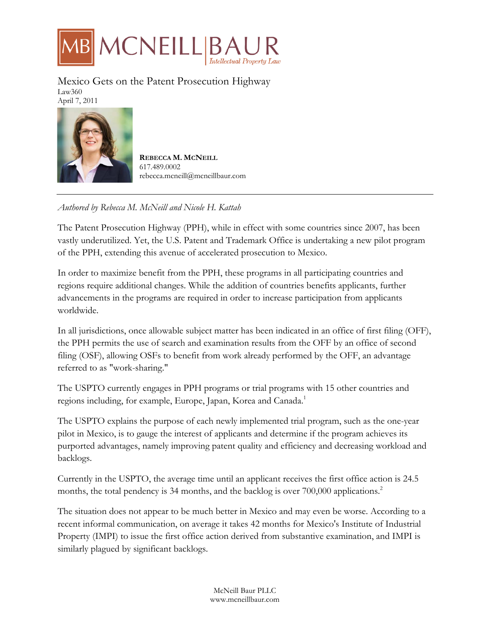

Mexico Gets on the Patent Prosecution Highway Law360 April 7, 2011



**REBECCA M. MCNEILL** 617.489.0002 rebecca.mcneill@mcneillbaur.com

## *Authored by Rebecca M. McNeill and Nicole H. Kattah*

The Patent Prosecution Highway (PPH), while in effect with some countries since 2007, has been vastly underutilized. Yet, the U.S. Patent and Trademark Office is undertaking a new pilot program of the PPH, extending this avenue of accelerated prosecution to Mexico.

In order to maximize benefit from the PPH, these programs in all participating countries and regions require additional changes. While the addition of countries benefits applicants, further advancements in the programs are required in order to increase participation from applicants worldwide.

In all jurisdictions, once allowable subject matter has been indicated in an office of first filing (OFF), the PPH permits the use of search and examination results from the OFF by an office of second filing (OSF), allowing OSFs to benefit from work already performed by the OFF, an advantage referred to as "work-sharing."

The USPTO currently engages in PPH programs or trial programs with 15 other countries and regions including, for example, Europe, Japan, Korea and Canada.<sup>1</sup>

The USPTO explains the purpose of each newly implemented trial program, such as the one-year pilot in Mexico, is to gauge the interest of applicants and determine if the program achieves its purported advantages, namely improving patent quality and efficiency and decreasing workload and backlogs.

Currently in the USPTO, the average time until an applicant receives the first office action is 24.5 months, the total pendency is 34 months, and the backlog is over 700,000 applications.<sup>2</sup>

The situation does not appear to be much better in Mexico and may even be worse. According to a recent informal communication, on average it takes 42 months for Mexico's Institute of Industrial Property (IMPI) to issue the first office action derived from substantive examination, and IMPI is similarly plagued by significant backlogs.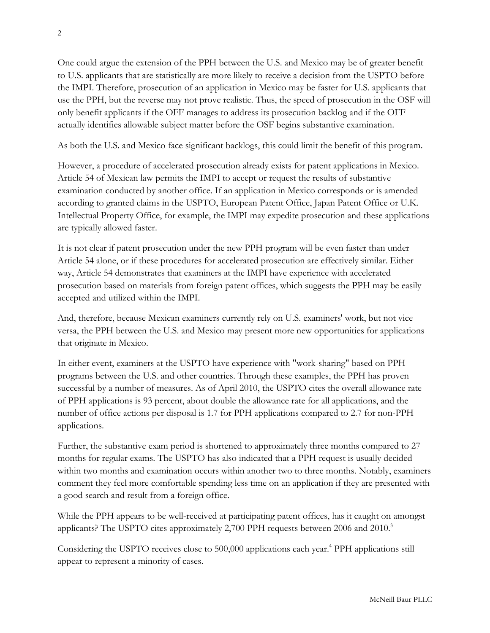One could argue the extension of the PPH between the U.S. and Mexico may be of greater benefit to U.S. applicants that are statistically are more likely to receive a decision from the USPTO before the IMPI. Therefore, prosecution of an application in Mexico may be faster for U.S. applicants that use the PPH, but the reverse may not prove realistic. Thus, the speed of prosecution in the OSF will only benefit applicants if the OFF manages to address its prosecution backlog and if the OFF actually identifies allowable subject matter before the OSF begins substantive examination.

As both the U.S. and Mexico face significant backlogs, this could limit the benefit of this program.

However, a procedure of accelerated prosecution already exists for patent applications in Mexico. Article 54 of Mexican law permits the IMPI to accept or request the results of substantive examination conducted by another office. If an application in Mexico corresponds or is amended according to granted claims in the USPTO, European Patent Office, Japan Patent Office or U.K. Intellectual Property Office, for example, the IMPI may expedite prosecution and these applications are typically allowed faster.

It is not clear if patent prosecution under the new PPH program will be even faster than under Article 54 alone, or if these procedures for accelerated prosecution are effectively similar. Either way, Article 54 demonstrates that examiners at the IMPI have experience with accelerated prosecution based on materials from foreign patent offices, which suggests the PPH may be easily accepted and utilized within the IMPI.

And, therefore, because Mexican examiners currently rely on U.S. examiners' work, but not vice versa, the PPH between the U.S. and Mexico may present more new opportunities for applications that originate in Mexico.

In either event, examiners at the USPTO have experience with "work-sharing" based on PPH programs between the U.S. and other countries. Through these examples, the PPH has proven successful by a number of measures. As of April 2010, the USPTO cites the overall allowance rate of PPH applications is 93 percent, about double the allowance rate for all applications, and the number of office actions per disposal is 1.7 for PPH applications compared to 2.7 for non-PPH applications.

Further, the substantive exam period is shortened to approximately three months compared to 27 months for regular exams. The USPTO has also indicated that a PPH request is usually decided within two months and examination occurs within another two to three months. Notably, examiners comment they feel more comfortable spending less time on an application if they are presented with a good search and result from a foreign office.

While the PPH appears to be well-received at participating patent offices, has it caught on amongst applicants? The USPTO cites approximately 2,700 PPH requests between 2006 and 2010.<sup>3</sup>

Considering the USPTO receives close to 500,000 applications each year.<sup>4</sup> PPH applications still appear to represent a minority of cases.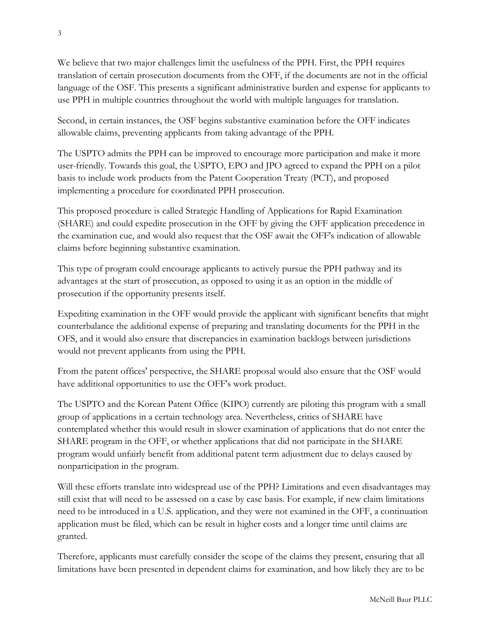We believe that two major challenges limit the usefulness of the PPH. First, the PPH requires translation of certain prosecution documents from the OFF, if the documents are not in the official language of the OSF. This presents a significant administrative burden and expense for applicants to use PPH in multiple countries throughout the world with multiple languages for translation.

Second, in certain instances, the OSF begins substantive examination before the OFF indicates allowable claims, preventing applicants from taking advantage of the PPH.

The USPTO admits the PPH can be improved to encourage more participation and make it more user-friendly. Towards this goal, the USPTO, EPO and JPO agreed to expand the PPH on a pilot basis to include work products from the Patent Cooperation Treaty (PCT), and proposed implementing a procedure for coordinated PPH prosecution.

This proposed procedure is called Strategic Handling of Applications for Rapid Examination (SHARE) and could expedite prosecution in the OFF by giving the OFF application precedence in the examination cue, and would also request that the OSF await the OFF's indication of allowable claims before beginning substantive examination.

This type of program could encourage applicants to actively pursue the PPH pathway and its advantages at the start of prosecution, as opposed to using it as an option in the middle of prosecution if the opportunity presents itself.

Expediting examination in the OFF would provide the applicant with significant benefits that might counterbalance the additional expense of preparing and translating documents for the PPH in the OFS, and it would also ensure that discrepancies in examination backlogs between jurisdictions would not prevent applicants from using the PPH.

From the patent offices' perspective, the SHARE proposal would also ensure that the OSF would have additional opportunities to use the OFF's work product.

The USPTO and the Korean Patent Office (KIPO) currently are piloting this program with a small group of applications in a certain technology area. Nevertheless, critics of SHARE have contemplated whether this would result in slower examination of applications that do not enter the SHARE program in the OFF, or whether applications that did not participate in the SHARE program would unfairly benefit from additional patent term adjustment due to delays caused by nonparticipation in the program.

Will these efforts translate into widespread use of the PPH? Limitations and even disadvantages may still exist that will need to be assessed on a case by case basis. For example, if new claim limitations need to be introduced in a U.S. application, and they were not examined in the OFF, a continuation application must be filed, which can be result in higher costs and a longer time until claims are granted.

Therefore, applicants must carefully consider the scope of the claims they present, ensuring that all limitations have been presented in dependent claims for examination, and how likely they are to be